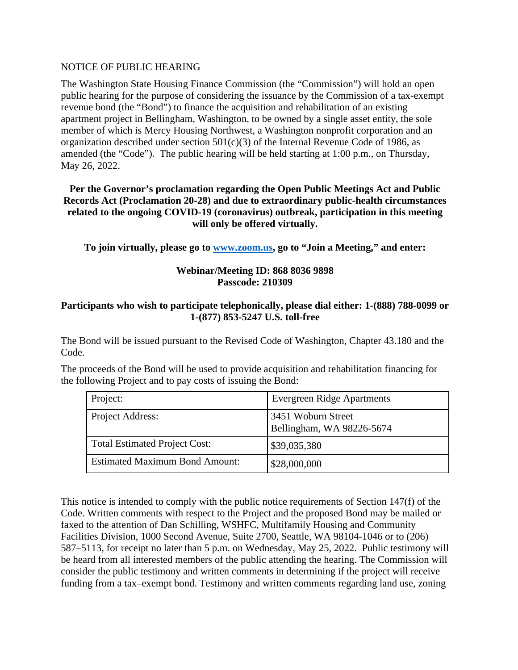## NOTICE OF PUBLIC HEARING

The Washington State Housing Finance Commission (the "Commission") will hold an open public hearing for the purpose of considering the issuance by the Commission of a tax-exempt revenue bond (the "Bond") to finance the acquisition and rehabilitation of an existing apartment project in Bellingham, Washington, to be owned by a single asset entity, the sole member of which is Mercy Housing Northwest, a Washington nonprofit corporation and an organization described under section  $501(c)(3)$  of the Internal Revenue Code of 1986, as amended (the "Code"). The public hearing will be held starting at 1:00 p.m., on Thursday, May 26, 2022.

## **Per the Governor's proclamation regarding the Open Public Meetings Act and Public Records Act (Proclamation 20-28) and due to extraordinary public-health circumstances related to the ongoing COVID-19 (coronavirus) outbreak, participation in this meeting will only be offered virtually.**

**To join virtually, please go to [www.zoom.us,](http://www.zoom.us/) go to "Join a Meeting," and enter:**

## **Webinar/Meeting ID: 868 8036 9898 Passcode: 210309**

## **Participants who wish to participate telephonically, please dial either: 1-(888) 788-0099 or 1-(877) 853-5247 U.S. toll-free**

The Bond will be issued pursuant to the Revised Code of Washington, Chapter 43.180 and the Code.

The proceeds of the Bond will be used to provide acquisition and rehabilitation financing for the following Project and to pay costs of issuing the Bond:

| Project:                              | <b>Evergreen Ridge Apartments</b>               |
|---------------------------------------|-------------------------------------------------|
| Project Address:                      | 3451 Woburn Street<br>Bellingham, WA 98226-5674 |
| <b>Total Estimated Project Cost:</b>  | \$39,035,380                                    |
| <b>Estimated Maximum Bond Amount:</b> | \$28,000,000                                    |

This notice is intended to comply with the public notice requirements of Section 147(f) of the Code. Written comments with respect to the Project and the proposed Bond may be mailed or faxed to the attention of Dan Schilling, WSHFC, Multifamily Housing and Community Facilities Division, 1000 Second Avenue, Suite 2700, Seattle, WA 98104-1046 or to (206) 587–5113, for receipt no later than 5 p.m. on Wednesday, May 25, 2022. Public testimony will be heard from all interested members of the public attending the hearing. The Commission will consider the public testimony and written comments in determining if the project will receive funding from a tax–exempt bond. Testimony and written comments regarding land use, zoning